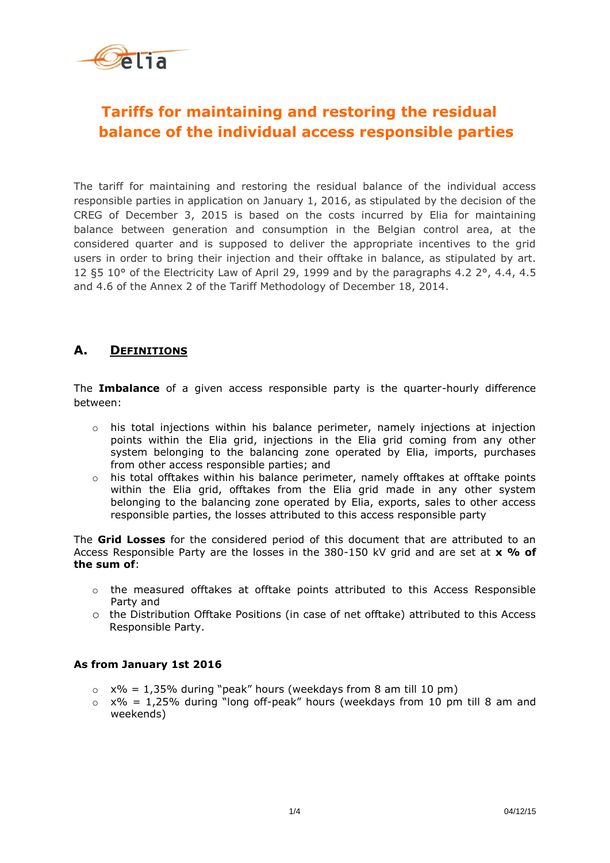

## **Tariffs for maintaining and restoring the residual balance of the individual access responsible parties**

The tariff for maintaining and restoring the residual balance of the individual access responsible parties in application on January 1, 2016, as stipulated by the decision of the CREG of December 3, 2015 is based on the costs incurred by Elia for maintaining balance between generation and consumption in the Belgian control area, at the considered quarter and is supposed to deliver the appropriate incentives to the grid users in order to bring their injection and their offtake in balance, as stipulated by art. 12 §5 10° of the Electricity Law of April 29, 1999 and by the paragraphs 4.2 2°, 4.4, 4.5 and 4.6 of the Annex 2 of the Tariff Methodology of December 18, 2014.

## **A. DEFINITIONS**

The **Imbalance** of a given access responsible party is the quarter-hourly difference between:

- $\circ$  his total injections within his balance perimeter, namely injections at injection points within the Elia grid, injections in the Elia grid coming from any other system belonging to the balancing zone operated by Elia, imports, purchases from other access responsible parties; and
- o his total offtakes within his balance perimeter, namely offtakes at offtake points within the Elia grid, offtakes from the Elia grid made in any other system belonging to the balancing zone operated by Elia, exports, sales to other access responsible parties, the losses attributed to this access responsible party

The **Grid Losses** for the considered period of this document that are attributed to an Access Responsible Party are the losses in the 380-150 kV grid and are set at **x % of the sum of**:

- $\circ$  the measured offtakes at offtake points attributed to this Access Responsible Party and
- o the Distribution Offtake Positions (in case of net offtake) attributed to this Access Responsible Party.

## **As from January 1st 2016**

- $\circ$  x% = 1,35% during "peak" hours (weekdays from 8 am till 10 pm)
- $\circ$  x% = 1,25% during "long off-peak" hours (weekdays from 10 pm till 8 am and weekends)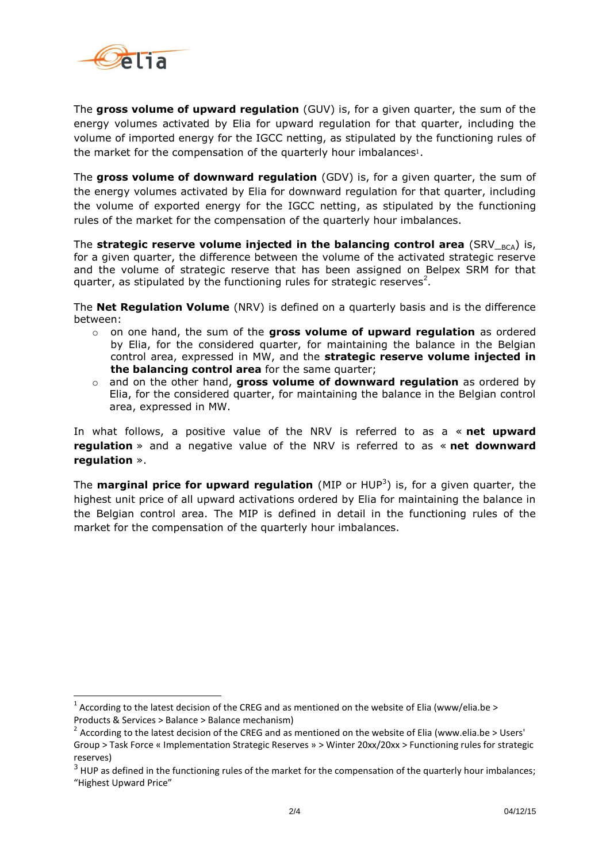

<u>.</u>

The **gross volume of upward regulation** (GUV) is, for a given quarter, the sum of the energy volumes activated by Elia for upward regulation for that quarter, including the volume of imported energy for the IGCC netting, as stipulated by the functioning rules of the market for the compensation of the quarterly hour imbalances<sup>1</sup>.

The **gross volume of downward regulation** (GDV) is, for a given quarter, the sum of the energy volumes activated by Elia for downward regulation for that quarter, including the volume of exported energy for the IGCC netting, as stipulated by the functioning rules of the market for the compensation of the quarterly hour imbalances.

The **strategic reserve volume injected in the balancing control area** (SRV  $_{BCA}$ ) is, for a given quarter, the difference between the volume of the activated strategic reserve and the volume of strategic reserve that has been assigned on Belpex SRM for that quarter, as stipulated by the functioning rules for strategic reserves<sup>2</sup>.

The **Net Regulation Volume** (NRV) is defined on a quarterly basis and is the difference between:

- o on one hand, the sum of the **gross volume of upward regulation** as ordered by Elia, for the considered quarter, for maintaining the balance in the Belgian control area, expressed in MW, and the **strategic reserve volume injected in the balancing control area** for the same quarter;
- and on the other hand, **gross volume of downward regulation** as ordered by Elia, for the considered quarter, for maintaining the balance in the Belgian control area, expressed in MW.

In what follows, a positive value of the NRV is referred to as a « **net upward regulation** » and a negative value of the NRV is referred to as « **net downward regulation** ».

The **marginal price for upward regulation** (MIP or HUP<sup>3</sup>) is, for a given quarter, the highest unit price of all upward activations ordered by Elia for maintaining the balance in the Belgian control area. The MIP is defined in detail in the functioning rules of the market for the compensation of the quarterly hour imbalances.

<sup>&</sup>lt;sup>1</sup> According to the latest decision of the CREG and as mentioned on the website of Elia (www/elia.be > Products & Services > Balance > Balance mechanism)

<sup>&</sup>lt;sup>2</sup> According to the latest decision of the CREG and as mentioned on the website of Elia (www.elia.be > Users' Group > Task Force « Implementation Strategic Reserves » > Winter 20xx/20xx > Functioning rules for strategic reserves)

 $3$  HUP as defined in the functioning rules of the market for the compensation of the quarterly hour imbalances; "Highest Upward Price"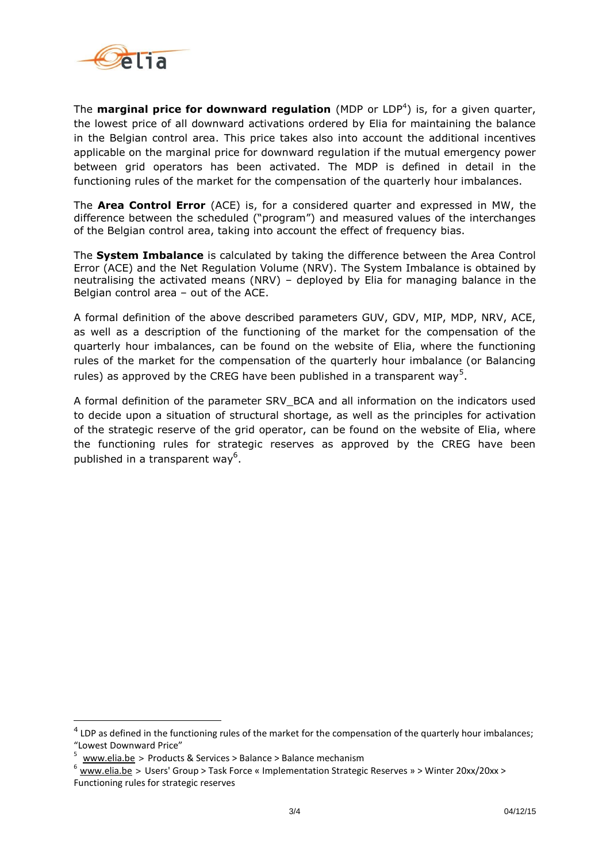

The **marginal price for downward regulation** (MDP or LDP<sup>4</sup>) is, for a given quarter, the lowest price of all downward activations ordered by Elia for maintaining the balance in the Belgian control area. This price takes also into account the additional incentives applicable on the marginal price for downward regulation if the mutual emergency power between grid operators has been activated. The MDP is defined in detail in the functioning rules of the market for the compensation of the quarterly hour imbalances.

The **Area Control Error** (ACE) is, for a considered quarter and expressed in MW, the difference between the scheduled ("program") and measured values of the interchanges of the Belgian control area, taking into account the effect of frequency bias.

The **System Imbalance** is calculated by taking the difference between the Area Control Error (ACE) and the Net Regulation Volume (NRV). The System Imbalance is obtained by neutralising the activated means (NRV) – deployed by Elia for managing balance in the Belgian control area – out of the ACE.

A formal definition of the above described parameters GUV, GDV, MIP, MDP, NRV, ACE, as well as a description of the functioning of the market for the compensation of the quarterly hour imbalances, can be found on the website of Elia, where the functioning rules of the market for the compensation of the quarterly hour imbalance (or Balancing rules) as approved by the CREG have been published in a transparent way<sup>5</sup>.

A formal definition of the parameter SRV\_BCA and all information on the indicators used to decide upon a situation of structural shortage, as well as the principles for activation of the strategic reserve of the grid operator, can be found on the website of Elia, where the functioning rules for strategic reserves as approved by the CREG have been published in a transparent way<sup>6</sup>.

<u>.</u>

<sup>&</sup>lt;sup>4</sup> LDP as defined in the functioning rules of the market for the compensation of the quarterly hour imbalances; "Lowest Downward Price"

<sup>5</sup> [www.elia.be](http://www.elia.be/) > Products & Services > Balance > Balance mechanism

[www.elia.be](http://www.elia.be/) > Users' Group > Task Force « Implementation Strategic Reserves » > Winter 20xx/20xx > Functioning rules for strategic reserves